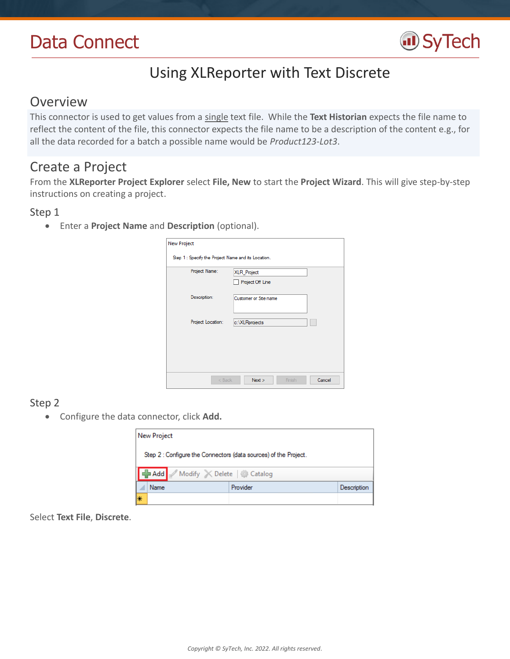# Data Connect



# Using XLReporter with Text Discrete

## Overview

This connector is used to get values from a single text file. While the **Text Historian** expects the file name to reflect the content of the file, this connector expects the file name to be a description of the content e.g., for all the data recorded for a batch a possible name would be *Product123-Lot3*.

## Create a Project

From the **XLReporter Project Explorer** select **File, New** to start the **Project Wizard**. This will give step-by-step instructions on creating a project.

### Step 1

Enter a **Project Name** and **Description** (optional).

| <b>New Project</b>                                  |                       |        |
|-----------------------------------------------------|-----------------------|--------|
| Step 1 : Specify the Project Name and its Location. |                       |        |
| Project Name:                                       | XLR_Project           |        |
|                                                     | Project Off Line      |        |
| Description:                                        | Customer or Site name |        |
|                                                     |                       |        |
| Project Location:                                   | c:\XLRprojects        |        |
|                                                     |                       |        |
|                                                     |                       |        |
|                                                     |                       |        |
| $<$ Back                                            | Next<br>Finish        | Cancel |
|                                                     |                       |        |

## Step 2

Configure the data connector, click **Add.**

|                                                                  | <b>New Project</b> |                               |          |             |  |
|------------------------------------------------------------------|--------------------|-------------------------------|----------|-------------|--|
| Step 2 : Configure the Connectors (data sources) of the Project. |                    |                               |          |             |  |
|                                                                  |                    | Add Modify X Delete   Catalog |          |             |  |
|                                                                  | Name               |                               | Provider | Description |  |
| l∗                                                               |                    |                               |          |             |  |

Select **Text File**, **Discrete**.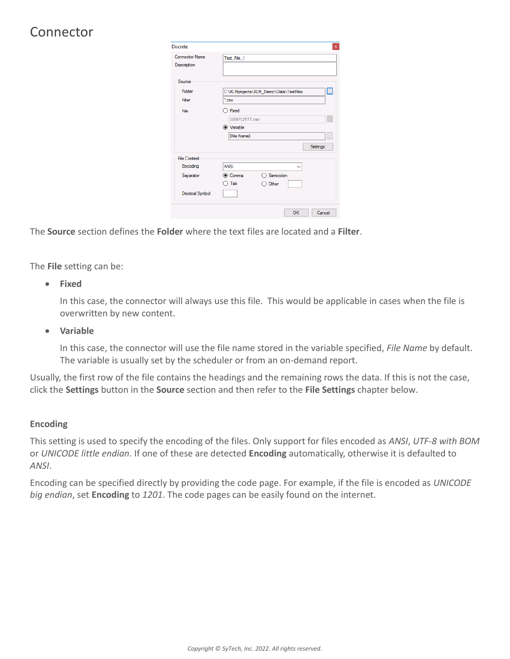## Connector

| Discrete                             | $\mathbf x$                                 |
|--------------------------------------|---------------------------------------------|
| <b>Connector Name</b><br>Description | Text_File_1                                 |
| Source                               |                                             |
| Folder                               | П<br>C:\XLRprojects\XLR_Demo\Data\TextFiles |
| Filter                               | $\cdot$ <sub>csv</sub>                      |
| File                                 | $\bigcap$ Fixed<br><b>GS97125TT.csv</b>     |
|                                      | (c) Variable                                |
|                                      | {File Name}<br>ä,                           |
|                                      | Settings                                    |
| <b>File Content</b>                  |                                             |
| Encoding                             | <b>ANSI</b><br>$\checkmark$                 |
| Separator                            | $\bigcap$ Semicolon<br>◉ Comma              |
|                                      | Tab<br>Other                                |
| Decimal Symbol                       |                                             |
|                                      | OK<br>Cancel                                |

The **Source** section defines the **Folder** where the text files are located and a **Filter**.

The **File** setting can be:

**Fixed**

In this case, the connector will always use this file. This would be applicable in cases when the file is overwritten by new content.

**Variable**

In this case, the connector will use the file name stored in the variable specified, *File Name* by default. The variable is usually set by the scheduler or from an on-demand report.

Usually, the first row of the file contains the headings and the remaining rows the data. If this is not the case, click the **Settings** button in the **Source** section and then refer to the **File Settings** chapter below.

### **Encoding**

This setting is used to specify the encoding of the files. Only support for files encoded as *ANSI*, *UTF-8 with BOM*  or *UNICODE little endian*. If one of these are detected **Encoding** automatically, otherwise it is defaulted to *ANSI*.

Encoding can be specified directly by providing the code page. For example, if the file is encoded as *UNICODE big endian*, set **Encoding** to *1201*. The code pages can be easily found on the internet.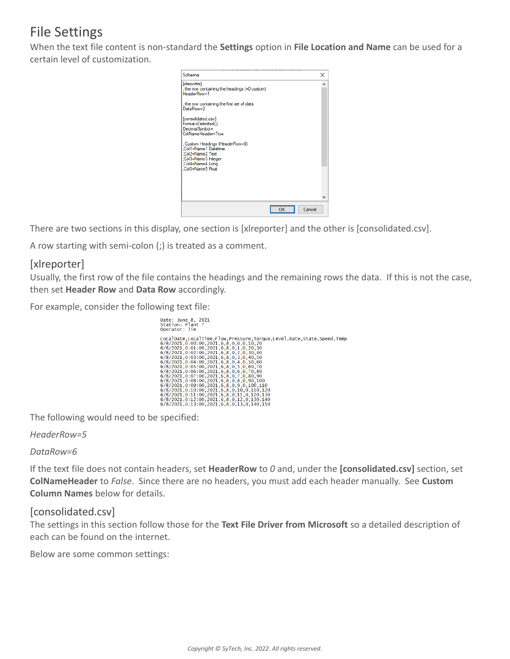## File Settings

When the text file content is non-standard the **Settings** option in **File Location and Name** can be used for a certain level of customization.



There are two sections in this display, one section is [xlreporter] and the other is [consolidated.csv].

A row starting with semi-colon (;) is treated as a comment.

## [xlreporter]

Usually, the first row of the file contains the headings and the remaining rows the data. If this is not the case, then set **Header Row** and **Data Row** accordingly.

For example, consider the following text file:

| Date: June 8, 2021<br>Station: Plant 7<br>Operator: Jim                                                                                                |
|--------------------------------------------------------------------------------------------------------------------------------------------------------|
| LocalDate,LocalTime,Flow,Pressure,Torque,Level,Rate,State,Speed,Temp<br>6/8/2021.0:00:00.2021.6.8.0.0.0.10.20<br>6/8/2021.0.01.00.2021.6.8.0.1.0.20.30 |
| 6/8/2021.0:02:00.2021.6.8.0.2.0.30.40<br>6/8/2021.0:03:00.2021.6.8.0.3.0.40.50                                                                         |
| 6/8/2021.0:04:00.2021.6.8.0.4.0.50.60<br>6/8/2021.0:05:00.2021.6.8.0.5.0.60.70<br>6/8/2021.0:06:00.2021.6.8.0.6.0.70.80                                |
| 6/8/2021.0:07:00.2021.6.8.0.7.0.80.90<br>6/8/2021.0:08:00.2021.6.8.0.8.0.90.100                                                                        |
| 6/8/2021.0:09:00.2021.6.8.0.9.0.100.110<br>6/8/2021.0:10:00.2021.6.8.0.10.0.110.120<br>6/8/2021.0:11:00.2021.6.8.0.11.0.120.130                        |
| 6/8/2021.0:12:00.2021.6.8.0.12.0.130.140<br>6/8/2021.0:13:00.2021.6.8.0.13.0.140.150                                                                   |

The following would need to be specified:

*HeaderRow=5*

### *DataRow=6*

If the text file does not contain headers, set **HeaderRow** to *0* and, under the **[consolidated.csv]** section, set **ColNameHeader** to *False*. Since there are no headers, you must add each header manually. See **Custom Column Names** below for details.

## [consolidated.csv]

The settings in this section follow those for the **Text File Driver from Microsoft** so a detailed description of each can be found on the internet.

Below are some common settings: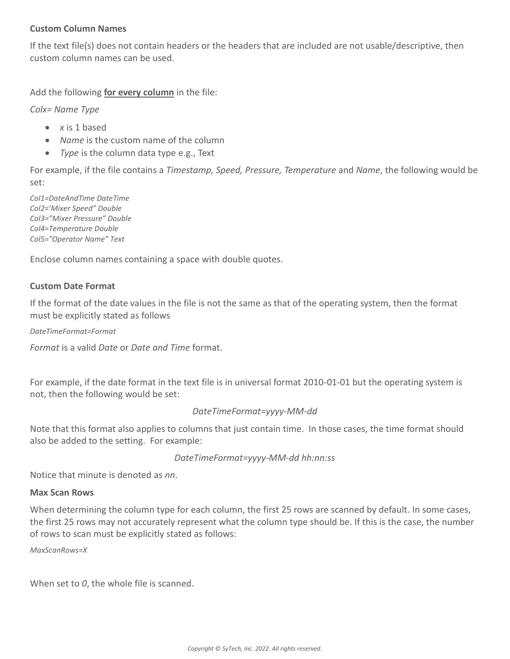### **Custom Column Names**

If the text file(s) does not contain headers or the headers that are included are not usable/descriptive, then custom column names can be used.

Add the following **for every column** in the file:

*Colx= Name Type*

- *x* is 1 based
- *Name* is the custom name of the column
- *Type* is the column data type e.g., Text

For example, if the file contains a *Timestamp, Speed, Pressure, Temperature* and *Name*, the following would be set:

*Col1=DateAndTime DateTime Col2='Mixer Speed" Double Col3="Mixer Pressure" Double Col4=Temperature Double Col5="Operator Name" Text*

Enclose column names containing a space with double quotes.

#### **Custom Date Format**

If the format of the date values in the file is not the same as that of the operating system, then the format must be explicitly stated as follows

*DateTimeFormat=Format*

*Format* is a valid *Date* or *Date and Time* format.

For example, if the date format in the text file is in universal format 2010-01-01 but the operating system is not, then the following would be set:

#### *DateTimeFormat=yyyy-MM-dd*

Note that this format also applies to columns that just contain time. In those cases, the time format should also be added to the setting. For example:

```
DateTimeFormat=yyyy-MM-dd hh:nn:ss
```
Notice that minute is denoted as *nn*.

#### **Max Scan Rows**

When determining the column type for each column, the first 25 rows are scanned by default. In some cases, the first 25 rows may not accurately represent what the column type should be. If this is the case, the number of rows to scan must be explicitly stated as follows:

*MaxScanRows=X*

When set to *0*, the whole file is scanned.